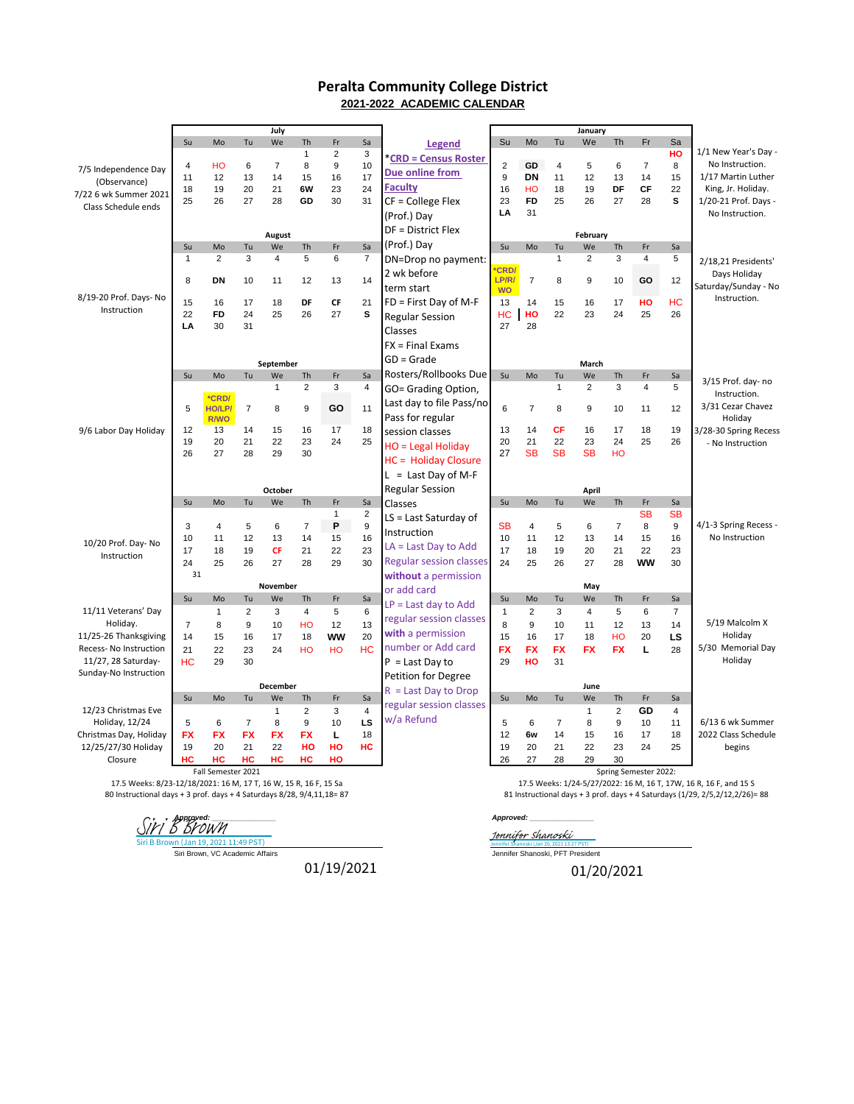## **Peralta Community College District 2021-2022 ACADEMIC CALENDAR**

|                                                                                                                                            |                |                    |                | July            |                         |                |                |                                |                    |                 |                | January        |                |                       |                |                                                                                                                                                   |
|--------------------------------------------------------------------------------------------------------------------------------------------|----------------|--------------------|----------------|-----------------|-------------------------|----------------|----------------|--------------------------------|--------------------|-----------------|----------------|----------------|----------------|-----------------------|----------------|---------------------------------------------------------------------------------------------------------------------------------------------------|
|                                                                                                                                            | Su             | Mo                 | Tu             | We              | Th                      | Fr             | Sa             | Legend                         | Su                 | Mo              | Tu             | We             | Th             | Fr                    | Sa             |                                                                                                                                                   |
|                                                                                                                                            |                |                    |                |                 | $\mathbf{1}$            | $\overline{2}$ | 3              | *CRD = Census Roster           |                    |                 |                |                |                |                       | HO             | 1/1 New Year's Day -                                                                                                                              |
| 7/5 Independence Day                                                                                                                       | 4              | HO                 | 6              | $\overline{7}$  | 8                       | 9              | 10             | Due online from                | $\overline{c}$     | GD              | $\overline{4}$ | 5              | 6              | $\overline{7}$        | 8              | No Instruction.                                                                                                                                   |
| (Observance)                                                                                                                               | 11             | 12                 | 13             | 14              | 15                      | 16             | 17             | <b>Faculty</b>                 | 9                  | DN              | 11             | 12             | 13             | 14                    | 15             | 1/17 Martin Luther                                                                                                                                |
| 7/22 6 wk Summer 2021                                                                                                                      | 18<br>25       | 19<br>26           | 20<br>27       | 21<br>28        | 6W<br>GD                | 23<br>30       | 24<br>31       | $CF = College Flex$            | 16<br>23           | HO<br><b>FD</b> | 18<br>25       | 19<br>26       | DF<br>27       | CF<br>28              | 22<br>s        | King, Jr. Holiday.<br>1/20-21 Prof. Days -                                                                                                        |
| Class Schedule ends                                                                                                                        |                |                    |                |                 |                         |                |                |                                | LA                 | 31              |                |                |                |                       |                | No Instruction.                                                                                                                                   |
|                                                                                                                                            |                |                    |                |                 |                         |                |                | (Prof.) Day                    |                    |                 |                |                |                |                       |                |                                                                                                                                                   |
|                                                                                                                                            |                |                    |                | <b>August</b>   |                         |                |                | DF = District Flex             |                    |                 |                | February       |                |                       |                |                                                                                                                                                   |
|                                                                                                                                            | Su             | Mo                 | Tu             | We              | Th                      | Fr             | Sa             | (Prof.) Day                    | Su                 | Mo              | Tu             | We             | Th             | Fr                    | Sa             |                                                                                                                                                   |
|                                                                                                                                            | $\mathbf{1}$   | 2                  | 3              | $\overline{4}$  | 5                       | 6              | $\overline{7}$ | DN=Drop no payment:            |                    |                 | $\mathbf{1}$   | $\overline{2}$ | 3              | $\overline{4}$        | 5              | 2/18,21 Presidents'                                                                                                                               |
|                                                                                                                                            |                |                    |                |                 |                         |                |                | 2 wk before                    | CR <sub>D</sub>    |                 |                |                |                |                       |                | Days Holiday                                                                                                                                      |
|                                                                                                                                            | 8              | DN                 | 10             | 11              | 12                      | 13             | 14             | term start                     | LP/R/<br><b>WO</b> | $\overline{7}$  | 8              | 9              | 10             | GO                    | 12             | Saturday/Sunday - No                                                                                                                              |
| 8/19-20 Prof. Days- No                                                                                                                     | 15             | 16                 | 17             | 18              | DF                      | CF             | 21             | FD = First Day of M-F          | 13                 | 14              | 15             | 16             | 17             | HO                    | <b>HC</b>      | Instruction.                                                                                                                                      |
| Instruction                                                                                                                                | 22             | <b>FD</b>          | 24             | 25              | 26                      | 27             | s              | <b>Regular Session</b>         | HC                 | HO              | 22             | 23             | 24             | 25                    | 26             |                                                                                                                                                   |
|                                                                                                                                            | LA             | 30                 | 31             |                 |                         |                |                |                                | 27                 | 28              |                |                |                |                       |                |                                                                                                                                                   |
|                                                                                                                                            |                |                    |                |                 |                         |                |                | Classes                        |                    |                 |                |                |                |                       |                |                                                                                                                                                   |
|                                                                                                                                            |                |                    |                |                 |                         |                |                | $FX = Final Exams$             |                    |                 |                |                |                |                       |                |                                                                                                                                                   |
|                                                                                                                                            |                |                    |                | September       |                         |                |                | $GD = Grade$                   |                    |                 |                | March          |                |                       |                |                                                                                                                                                   |
|                                                                                                                                            | Su             | Mo                 | Tu             | We              | Th                      | Fr             | Sa             | Rosters/Rollbooks Due          | Su                 | Mo              | Tu             | We             | Th             | Fr                    | Sa             | 3/15 Prof. day- no                                                                                                                                |
|                                                                                                                                            |                |                    |                | 1               | $\overline{2}$          | 3              | 4              | GO= Grading Option,            |                    |                 | $\mathbf{1}$   | $\overline{2}$ | 3              | $\overline{4}$        | 5              | Instruction.                                                                                                                                      |
|                                                                                                                                            |                | *CRD/              |                |                 |                         |                |                | Last day to file Pass/no       |                    |                 |                |                |                |                       |                | 3/31 Cezar Chavez                                                                                                                                 |
|                                                                                                                                            | 5              | HO/LP/<br>R/WO     | $\overline{7}$ | 8               | 9                       | GO             | 11             | Pass for regular               | 6                  | $\overline{7}$  | 8              | 9              | 10             | 11                    | 12             | Holiday                                                                                                                                           |
| 9/6 Labor Day Holiday                                                                                                                      | 12             | 13                 | 14             | 15              | 16                      | 17             | 18             | session classes                | 13                 | 14              | CF             | 16             | 17             | 18                    | 19             | 3/28-30 Spring Recess                                                                                                                             |
|                                                                                                                                            | 19             | 20                 | 21             | 22              | 23                      | 24             | 25             | HO = Legal Holiday             | 20                 | 21              | 22             | 23             | 24             | 25                    | 26             | - No Instruction                                                                                                                                  |
|                                                                                                                                            | 26             | 27                 | 28             | 29              | 30                      |                |                |                                | 27                 | <b>SB</b>       | <b>SB</b>      | <b>SB</b>      | HO             |                       |                |                                                                                                                                                   |
|                                                                                                                                            |                |                    |                |                 |                         |                |                | HC = Holiday Closure           |                    |                 |                |                |                |                       |                |                                                                                                                                                   |
|                                                                                                                                            |                |                    |                |                 |                         |                |                | $L =$ Last Day of M-F          |                    |                 |                |                |                |                       |                |                                                                                                                                                   |
|                                                                                                                                            |                |                    |                | October         |                         |                |                | <b>Regular Session</b>         |                    |                 |                | April          |                |                       |                |                                                                                                                                                   |
|                                                                                                                                            | Su             | Mo                 | Tu             | We              | <b>Th</b>               | Fr             | Sa             | Classes                        | Su                 | Mo              | Tu             | We             | Th             | Fr                    | Sa             |                                                                                                                                                   |
|                                                                                                                                            |                |                    |                |                 |                         | 1              | $\overline{2}$ | $LS = Last Saturday of$        |                    |                 |                |                |                | <b>SB</b>             | <b>SB</b>      |                                                                                                                                                   |
|                                                                                                                                            | 3              | $\overline{4}$     | 5              | 6               | $\overline{7}$          | P              | 9              | Instruction                    | <b>SB</b>          | $\overline{4}$  | 5              | 6              | $\overline{7}$ | 8                     | 9              | 4/1-3 Spring Recess -                                                                                                                             |
| 10/20 Prof. Day- No                                                                                                                        | 10             | 11                 | 12             | 13              | 14                      | 15             | 16             | $LA = Last Day to Add$         | 10                 | 11              | 12             | 13             | 14             | 15                    | 16             | No Instruction                                                                                                                                    |
| Instruction                                                                                                                                | 17             | 18                 | 19<br>26       | <b>CF</b><br>27 | 21<br>28                | 22<br>29       | 23<br>30       | <b>Regular session classes</b> | 17                 | 18              | 19<br>26       | 20<br>27       | 21<br>28       | 22<br><b>WW</b>       | 23<br>30       |                                                                                                                                                   |
|                                                                                                                                            | 24<br>31       | 25                 |                |                 |                         |                |                |                                | 24                 | 25              |                |                |                |                       |                |                                                                                                                                                   |
|                                                                                                                                            |                |                    |                | November        |                         |                |                | without a permission           |                    |                 |                | May            |                |                       |                |                                                                                                                                                   |
|                                                                                                                                            | Su             | Mo                 | Tu             | We              | Th                      | Fr             | Sa             | or add card                    | Su                 | Mo              | Tu             | We             | Th             | Fr                    | Sa             |                                                                                                                                                   |
| 11/11 Veterans' Day                                                                                                                        |                | $\mathbf{1}$       | $\overline{2}$ | 3               | $\overline{\mathbf{4}}$ | 5              | 6              | $LP = Last day to Add$         | $\mathbf{1}$       | $\overline{2}$  | 3              | 4              | 5              | 6                     | $\overline{7}$ |                                                                                                                                                   |
| Holiday.                                                                                                                                   | $\overline{7}$ | 8                  | 9              | 10              | HO                      | 12             | 13             | regular session classes        | 8                  | 9               | 10             | 11             | 12             | 13                    | 14             | 5/19 Malcolm X                                                                                                                                    |
| 11/25-26 Thanksgiving                                                                                                                      | 14             | 15                 | 16             | 17              | 18                      | <b>WW</b>      | 20             | with a permission              | 15                 | 16              | 17             | 18             | HO             | 20                    | LS             | Holiday                                                                                                                                           |
| Recess- No Instruction                                                                                                                     | 21             | 22                 | 23             | 24              | HO                      | HO             | <b>HC</b>      | number or Add card             | <b>FX</b>          | FX              | <b>FX</b>      | <b>FX</b>      | <b>FX</b>      | г                     | 28             | 5/30 Memorial Day                                                                                                                                 |
| 11/27, 28 Saturday-                                                                                                                        | HC             | 29                 | 30             |                 |                         |                |                | $P =$ Last Day to              | 29                 | HO              | 31             |                |                |                       |                | Holiday                                                                                                                                           |
| Sunday-No Instruction                                                                                                                      |                |                    |                |                 |                         |                |                | Petition for Degree            |                    |                 |                |                |                |                       |                |                                                                                                                                                   |
|                                                                                                                                            |                |                    |                | December        |                         |                |                | $R =$ Last Day to Drop         |                    |                 |                | June           |                |                       |                |                                                                                                                                                   |
|                                                                                                                                            | Su             | Mo                 | Tu             | We              | Th                      | Fr             | Sa             |                                | Su                 | Mo              | Tu             | We             | Th             | Fr                    | Sa             |                                                                                                                                                   |
| 12/23 Christmas Eve                                                                                                                        |                |                    |                | $\mathbf{1}$    | $\overline{2}$          | 3              | $\overline{4}$ | regular session classes        |                    |                 |                | $\mathbf{1}$   | $\overline{2}$ | GD                    | 4              |                                                                                                                                                   |
| Holiday, 12/24                                                                                                                             | 5              | 6                  | $\overline{7}$ | 8               | 9                       | 10             | LS             | w/a Refund                     | 5                  | 6               | $\overline{7}$ | 8              | 9              | 10                    | 11             | 6/13 6 wk Summer                                                                                                                                  |
| Christmas Day, Holiday                                                                                                                     | <b>FX</b>      | <b>FX</b>          | <b>FX</b>      | <b>FX</b>       | <b>FX</b>               | L              | 18             |                                | 12                 | 6w              | 14             | 15             | 16             | 17                    | 18             | 2022 Class Schedule                                                                                                                               |
| 12/25/27/30 Holiday                                                                                                                        | 19             | 20                 | 21             | 22              | HO                      | HO             | HC             |                                | 19                 | 20              | 21             | 22             | 23             | 24                    | 25             | begins                                                                                                                                            |
| Closure                                                                                                                                    | HC             | HС                 | HC             | HC              | HC                      | HO             |                |                                | 26                 | 27              | 28             | 29             | 30             |                       |                |                                                                                                                                                   |
|                                                                                                                                            |                | Fall Semester 2021 |                |                 |                         |                |                |                                |                    |                 |                |                |                | Spring Semester 2022: |                |                                                                                                                                                   |
| 17.5 Weeks: 8/23-12/18/2021: 16 M, 17 T, 16 W, 15 R, 16 F, 15 Sa<br>80 Instructional days + 3 prof. days + 4 Saturdays 8/28, 9/4,11,18= 87 |                |                    |                |                 |                         |                |                |                                |                    |                 |                |                |                |                       |                | 17.5 Weeks: 1/24-5/27/2022: 16 M, 16 T, 17W, 16 R, 16 F, and 15 S<br>81 Instructional days + 3 prof. days + 4 Saturdays (1/29, 2/5,2/12,2/26)= 88 |
|                                                                                                                                            |                |                    |                |                 |                         |                |                |                                |                    |                 |                |                |                |                       |                |                                                                                                                                                   |

<u>Siri Brown, VC Academic Affairs [Jennifer Shanoski](https://peralta.na2.echosign.com/verifier?tx=CBJCHBCAABAAzsV-nbL7-ULzehoLtMY6XoygfX1Kx4eg), Pennifer Shanoski, Pennifer Shanoski, PFT President (</u><br>Siri Brown, VC Academic Affairs () *and the state of the state of the state of the state of the state of the shano* **Approved:** <u>Approved:</u> *Approved:* **<u>***Approved:**Approved:**Approved:**Approved:**Approved:**Approved:**Approved:**Approved:**Approved:**Approved:**Approved:**Approved:**Approved:**Approved:**Approved:**App</u>* Siri B

vn (Jan 19, 2021 11:49 PST)<br>Siri Brown, VC Academic Affairs

01/19/2021

01/20/2021